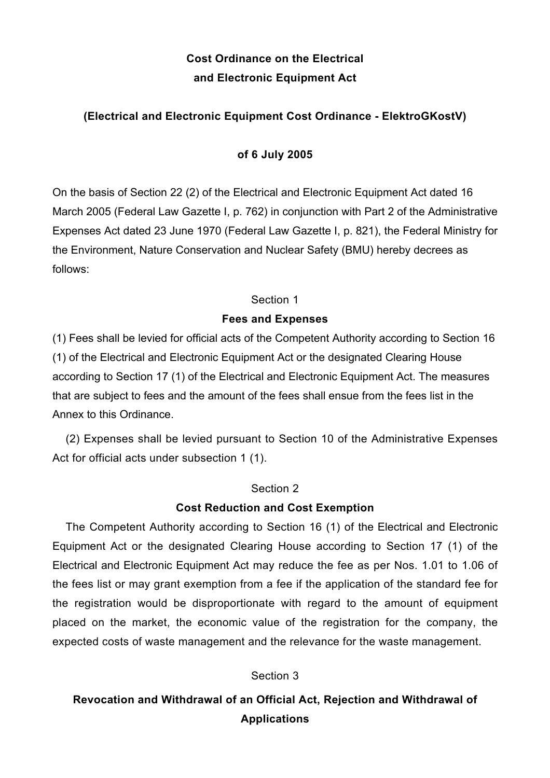# **Cost Ordinance on the Electrical and Electronic Equipment Act**

# **(Electrical and Electronic Equipment Cost Ordinance - ElektroGKostV)**

### **of 6 July 2005**

On the basis of Section 22 (2) of the Electrical and Electronic Equipment Act dated 16 March 2005 (Federal Law Gazette I, p. 762) in conjunction with Part 2 of the Administrative Expenses Act dated 23 June 1970 (Federal Law Gazette I, p. 821), the Federal Ministry for the Environment, Nature Conservation and Nuclear Safety (BMU) hereby decrees as follows:

#### Section 1

### **Fees and Expenses**

(1) Fees shall be levied for official acts of the Competent Authority according to Section 16 (1) of the Electrical and Electronic Equipment Act or the designated Clearing House according to Section 17 (1) of the Electrical and Electronic Equipment Act. The measures that are subject to fees and the amount of the fees shall ensue from the fees list in the Annex to this Ordinance.

(2) Expenses shall be levied pursuant to Section 10 of the Administrative Expenses Act for official acts under subsection 1 (1).

#### Section 2

### **Cost Reduction and Cost Exemption**

The Competent Authority according to Section 16 (1) of the Electrical and Electronic Equipment Act or the designated Clearing House according to Section 17 (1) of the Electrical and Electronic Equipment Act may reduce the fee as per Nos. 1.01 to 1.06 of the fees list or may grant exemption from a fee if the application of the standard fee for the registration would be disproportionate with regard to the amount of equipment placed on the market, the economic value of the registration for the company, the expected costs of waste management and the relevance for the waste management.

### Section 3

# **Revocation and Withdrawal of an Official Act, Rejection and Withdrawal of Applications**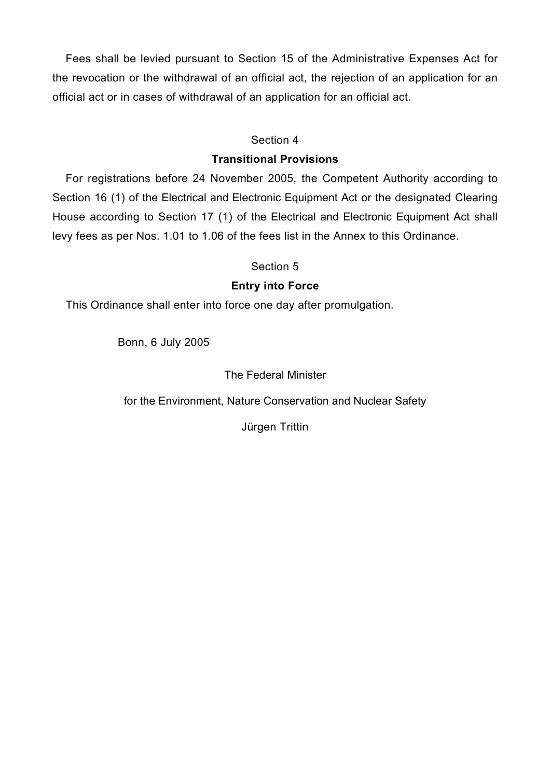Fees shall be levied pursuant to Section 15 of the Administrative Expenses Act for the revocation or the withdrawal of an official act, the rejection of an application for an official act or in cases of withdrawal of an application for an official act.

### Section 4

### **Transitional Provisions**

For registrations before 24 November 2005, the Competent Authority according to Section 16 (1) of the Electrical and Electronic Equipment Act or the designated Clearing House according to Section 17 (1) of the Electrical and Electronic Equipment Act shall levy fees as per Nos. 1.01 to 1.06 of the fees list in the Annex to this Ordinance.

### Section 5

## **Entry into Force**

This Ordinance shall enter into force one day after promulgation.

Bonn, 6 July 2005

The Federal Minister

for the Environment, Nature Conservation and Nuclear Safety

Jürgen Trittin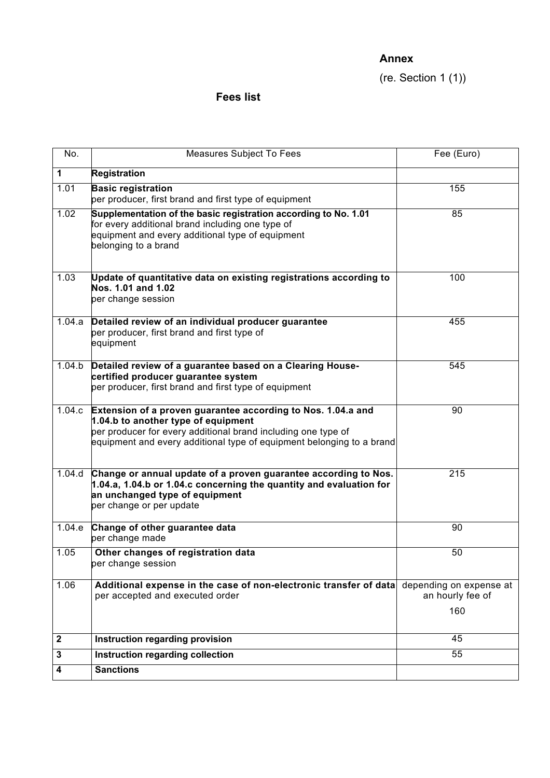## **Annex**

(re. Section 1 (1))

# **Fees list**

| No.              | Measures Subject To Fees                                                                                                                                                                                                                      | Fee (Euro)                                         |
|------------------|-----------------------------------------------------------------------------------------------------------------------------------------------------------------------------------------------------------------------------------------------|----------------------------------------------------|
| $\mathbf 1$      | <b>Registration</b>                                                                                                                                                                                                                           |                                                    |
| 1.01             | <b>Basic registration</b><br>per producer, first brand and first type of equipment                                                                                                                                                            | 155                                                |
| 1.02             | Supplementation of the basic registration according to No. 1.01<br>for every additional brand including one type of<br>equipment and every additional type of equipment<br>belonging to a brand                                               | 85                                                 |
| 1.03             | Update of quantitative data on existing registrations according to<br>Nos. 1.01 and 1.02<br>per change session                                                                                                                                | 100                                                |
| 1.04.a           | Detailed review of an individual producer guarantee<br>per producer, first brand and first type of<br>equipment                                                                                                                               | 455                                                |
| 1.04.b           | Detailed review of a guarantee based on a Clearing House-<br>certified producer guarantee system<br>per producer, first brand and first type of equipment                                                                                     | 545                                                |
| 1.04.c           | Extension of a proven guarantee according to Nos. 1.04.a and<br>1.04.b to another type of equipment<br>per producer for every additional brand including one type of<br>equipment and every additional type of equipment belonging to a brand | 90                                                 |
| 1.04.d           | Change or annual update of a proven guarantee according to Nos.<br>1.04.a, 1.04.b or 1.04.c concerning the quantity and evaluation for<br>an unchanged type of equipment<br>per change or per update                                          | 215                                                |
| 1.04.e           | Change of other guarantee data<br>per change made                                                                                                                                                                                             | 90                                                 |
| 1.05             | Other changes of registration data<br>per change session                                                                                                                                                                                      | 50                                                 |
| 1.06             | Additional expense in the case of non-electronic transfer of data<br>per accepted and executed order                                                                                                                                          | depending on expense at<br>an hourly fee of<br>160 |
| $\boldsymbol{2}$ | Instruction regarding provision                                                                                                                                                                                                               | 45                                                 |
| 3                | Instruction regarding collection                                                                                                                                                                                                              | 55                                                 |
| 4                | <b>Sanctions</b>                                                                                                                                                                                                                              |                                                    |